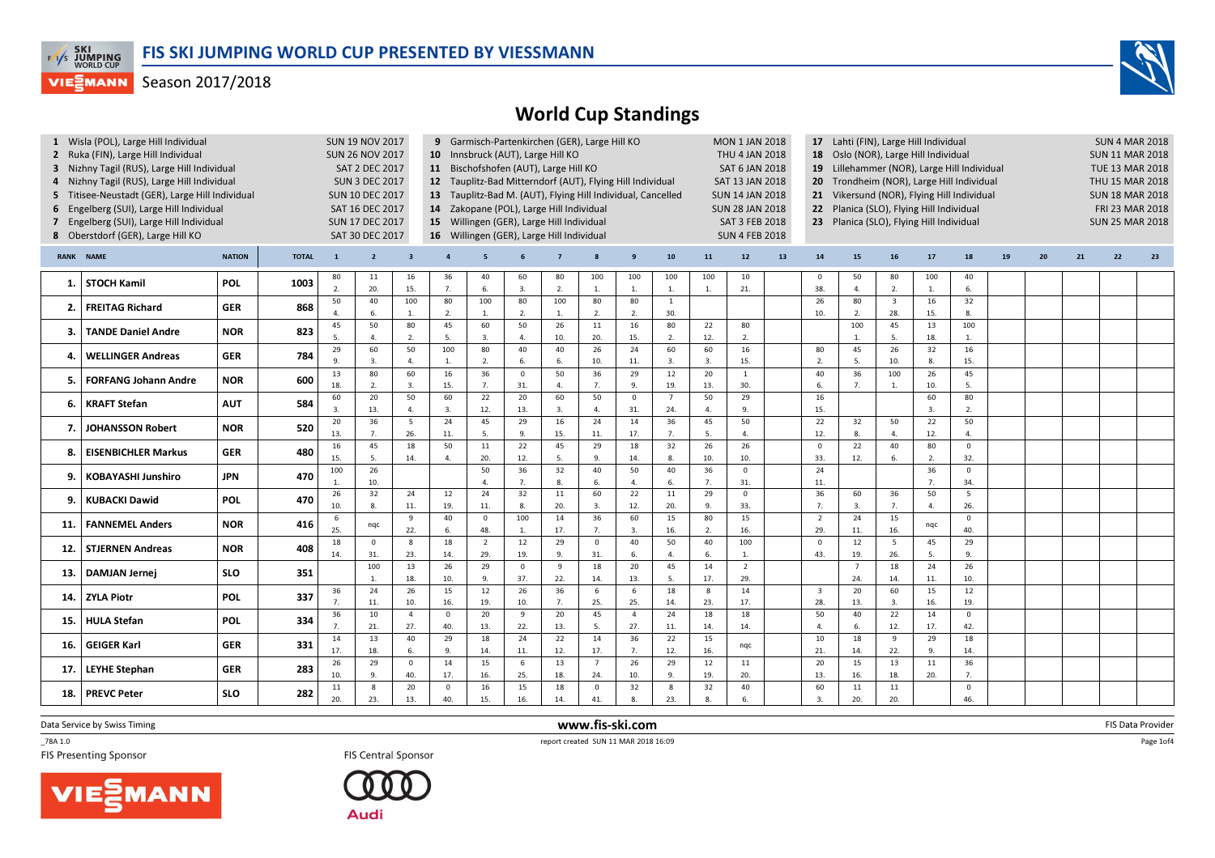

## World Cup Standings

|             | 1 Wisla (POL), Large Hill Individual<br>2 Ruka (FIN), Large Hill Individual<br>3 Nizhny Tagil (RUS), Large Hill Individual<br>4 Nizhny Tagil (RUS), Large Hill Individual<br>5 Titisee-Neustadt (GER), Large Hill Individual<br>6 Engelberg (SUI), Large Hill Individual<br>7 Engelberg (SUI), Large Hill Individual<br>8 Oberstdorf (GER), Large Hill KO |               |              | <b>SUN 19 NOV 2017</b><br><b>SUN 26 NOV 2017</b><br>SAT 2 DEC 2017<br><b>SUN 3 DEC 2017</b><br><b>SUN 10 DEC 2017</b><br>SAT 16 DEC 2017<br><b>SUN 17 DEC 2017</b><br>SAT 30 DEC 2017 |                     | 10 Innsbruck (AUT), Large Hill KO<br>11 Bischofshofen (AUT), Large Hill KO<br>12 Tauplitz-Bad Mitterndorf (AUT), Flying Hill Individual<br>13 Tauplitz-Bad M. (AUT), Flying Hill Individual, Cancelled<br>14 Zakopane (POL), Large Hill Individual<br>15 Willingen (GER), Large Hill Individual<br>16 Willingen (GER), Large Hill Individual |                       |                        |                       | 9 Garmisch-Partenkirchen (GER), Large Hill KO |                       |                        |                       | <b>MON 1 JAN 2018</b><br><b>THU 4 JAN 2018</b><br><b>SAT 6 JAN 2018</b><br>SAT 13 JAN 2018<br><b>SUN 14 JAN 2018</b><br><b>SUN 28 JAN 2018</b><br>SAT 3 FEB 2018<br><b>SUN 4 FEB 2018</b> |                       | 17 Lahti (FIN), Large Hill Individual<br>18 Oslo (NOR), Large Hill Individual<br>Lillehammer (NOR), Large Hill Individual<br>19<br>20 Trondheim (NOR), Large Hill Individual<br>21 Vikersund (NOR), Flying Hill Individual<br>22 Planica (SLO), Flying Hill Individual<br>23 Planica (SLO), Flying Hill Individual |                                |                        |                                |                      |                      |    |    | <b>SUN 4 MAR 2018</b><br><b>SUN 11 MAR 2018</b><br><b>TUE 13 MAR 2018</b><br>THU 15 MAR 2018<br><b>SUN 18 MAR 2018</b><br>FRI 23 MAR 2018<br><b>SUN 25 MAR 2018</b> |    |    |  |  |
|-------------|-----------------------------------------------------------------------------------------------------------------------------------------------------------------------------------------------------------------------------------------------------------------------------------------------------------------------------------------------------------|---------------|--------------|---------------------------------------------------------------------------------------------------------------------------------------------------------------------------------------|---------------------|----------------------------------------------------------------------------------------------------------------------------------------------------------------------------------------------------------------------------------------------------------------------------------------------------------------------------------------------|-----------------------|------------------------|-----------------------|-----------------------------------------------|-----------------------|------------------------|-----------------------|-------------------------------------------------------------------------------------------------------------------------------------------------------------------------------------------|-----------------------|--------------------------------------------------------------------------------------------------------------------------------------------------------------------------------------------------------------------------------------------------------------------------------------------------------------------|--------------------------------|------------------------|--------------------------------|----------------------|----------------------|----|----|---------------------------------------------------------------------------------------------------------------------------------------------------------------------|----|----|--|--|
| <b>RANK</b> | <b>NAME</b>                                                                                                                                                                                                                                                                                                                                               | <b>NATION</b> | <b>TOTAL</b> | $\mathbf{1}$                                                                                                                                                                          | $\overline{2}$      | $\overline{\mathbf{3}}$                                                                                                                                                                                                                                                                                                                      | $\overline{4}$        | 5                      |                       | $\overline{7}$                                |                       | $\mathbf{g}$           | 10 <sup>10</sup>      | 11                                                                                                                                                                                        | 12                    | 13                                                                                                                                                                                                                                                                                                                 | 14                             | 15                     | 16                             | 17 <sup>2</sup>      | 18                   | 19 | 20 | 21                                                                                                                                                                  | 22 | 23 |  |  |
| 1.          | <b>STOCH Kamil</b>                                                                                                                                                                                                                                                                                                                                        | POL           | 1003         | 80<br>$\mathcal{L}$                                                                                                                                                                   | 11<br>20.           | 16<br>15.                                                                                                                                                                                                                                                                                                                                    | 36<br>7.              | 40<br>6.               | 60<br>3.              | 80<br>2.                                      | 100<br>$\mathbf{1}$   | 100<br>1.              | 100<br>$\overline{1}$ | 100<br>1.                                                                                                                                                                                 | 10<br>21.             |                                                                                                                                                                                                                                                                                                                    | $\overline{\mathbf{0}}$<br>38. | 50<br>$\overline{4}$ . | 80<br>2.                       | 100<br>1.            | 40<br>6.             |    |    |                                                                                                                                                                     |    |    |  |  |
| -2.         | <b>FREITAG Richard</b>                                                                                                                                                                                                                                                                                                                                    | <b>GER</b>    | 868          | 50                                                                                                                                                                                    | 40<br>6.            | 100<br>1.                                                                                                                                                                                                                                                                                                                                    | 80<br>2.              | 100<br>1.              | 80<br>2.              | 100<br>1.                                     | 80<br>2.              | 80<br>2.               | 1<br>30.              |                                                                                                                                                                                           |                       |                                                                                                                                                                                                                                                                                                                    | 26<br>10.                      | 80<br>2.               | $\overline{\mathbf{3}}$<br>28. | 16<br>15.            | 32<br>8.             |    |    |                                                                                                                                                                     |    |    |  |  |
| З.          | <b>TANDE Daniel Andre</b>                                                                                                                                                                                                                                                                                                                                 | <b>NOR</b>    | 823          | 45<br>5                                                                                                                                                                               | 50<br>4             | 80<br>2.                                                                                                                                                                                                                                                                                                                                     | 45<br>-5.             | 60<br>3.               | 50<br>$\Delta$        | 26<br>10.                                     | $11\,$<br>20.         | 16<br>15.              | 80<br>$\overline{2}$  | 22<br>12.                                                                                                                                                                                 | 80<br>2.              |                                                                                                                                                                                                                                                                                                                    |                                | 100<br>1.              | 45<br>-5.                      | 13<br>18.            | 100<br>1.            |    |    |                                                                                                                                                                     |    |    |  |  |
| 4           | <b>WELLINGER Andreas</b>                                                                                                                                                                                                                                                                                                                                  | <b>GER</b>    | 784          | 29<br>9.                                                                                                                                                                              | 60<br>3.            | 50<br>4.                                                                                                                                                                                                                                                                                                                                     | 100<br>$\overline{1}$ | 80<br>2.               | 40<br>6.              | 40<br>6.                                      | 26<br>10.             | 24<br>11.              | 60<br>$\overline{3}$  | 60<br>3.                                                                                                                                                                                  | 16<br>15.             |                                                                                                                                                                                                                                                                                                                    | 80<br>$\overline{2}$ .         | 45<br>5.               | 26<br>10.                      | 32<br>8.             | 16<br>15.            |    |    |                                                                                                                                                                     |    |    |  |  |
| 5.          | <b>FORFANG Johann Andre</b>                                                                                                                                                                                                                                                                                                                               | <b>NOR</b>    | 600          | 13<br>18.                                                                                                                                                                             | 80<br>2.            | 60<br>3.                                                                                                                                                                                                                                                                                                                                     | 16<br>15.             | 36<br>7.               | $\Omega$<br>31.       | 50<br>$\mathbf{A}$                            | 36<br>7.              | 29<br>9.               | 12<br>19.             | 20<br>13.                                                                                                                                                                                 | $\mathbf{1}$<br>30.   |                                                                                                                                                                                                                                                                                                                    | 40<br>6.                       | 36<br>7.               | 100<br>1.                      | 26<br>10.            | 45<br>5.             |    |    |                                                                                                                                                                     |    |    |  |  |
| 6.          | <b>KRAFT Stefan</b>                                                                                                                                                                                                                                                                                                                                       | <b>AUT</b>    | 584          | 60<br>$\mathbf{3}$                                                                                                                                                                    | 20<br>13.           | 50<br>4.                                                                                                                                                                                                                                                                                                                                     | 60<br>$\overline{3}$  | 22<br>12.              | 20<br>13.             | 60<br>3.                                      | 50<br>$\overline{4}$  | $\overline{0}$<br>31.  | $\overline{7}$<br>24. | 50<br>4.                                                                                                                                                                                  | 29<br>9.              |                                                                                                                                                                                                                                                                                                                    | 16<br>15.                      |                        |                                | 60<br>$\overline{3}$ | 80<br>2.             |    |    |                                                                                                                                                                     |    |    |  |  |
| 7.          | <b>JOHANSSON Robert</b>                                                                                                                                                                                                                                                                                                                                   | <b>NOR</b>    | 520          | 20<br>13.                                                                                                                                                                             | 36<br>7.            | 5<br>26.                                                                                                                                                                                                                                                                                                                                     | 24<br>11.             | 45<br>$\overline{5}$ . | 29<br>9.              | 16<br>15.                                     | 24<br>11.             | 14<br>17.              | 36<br>7.              | 45<br>5.                                                                                                                                                                                  | 50<br>$\mathbf{4}$    |                                                                                                                                                                                                                                                                                                                    | 22<br>12.                      | 32<br>8.               | 50<br>$\mathbf{4}$             | 22<br>12.            | 50<br>$\overline{a}$ |    |    |                                                                                                                                                                     |    |    |  |  |
| 8.          | <b>EISENBICHLER Markus</b>                                                                                                                                                                                                                                                                                                                                | <b>GER</b>    | 480          | 16<br>15.                                                                                                                                                                             | 45<br>5.            | 18<br>14.                                                                                                                                                                                                                                                                                                                                    | 50                    | 11<br>20.              | 22<br>12.             | 45<br>5.                                      | 29<br>9               | 18<br>14.              | 32<br>8.              | 26<br>10.                                                                                                                                                                                 | 26<br>10.             |                                                                                                                                                                                                                                                                                                                    | $\overline{0}$<br>33.          | 22<br>12.              | 40<br>6.                       | 80<br>2.             | $\mathbf{0}$<br>32.  |    |    |                                                                                                                                                                     |    |    |  |  |
| 9.          | <b>KOBAYASHI Junshiro</b>                                                                                                                                                                                                                                                                                                                                 | <b>JPN</b>    | 470          | 100                                                                                                                                                                                   | 26<br>10.           |                                                                                                                                                                                                                                                                                                                                              |                       | 50<br>$\mathbf{A}$     | 36<br>$\overline{7}$  | 32<br>8.                                      | 40<br>6.              | 50<br>$\overline{4}$ . | 40<br>6.              | 36<br>7.                                                                                                                                                                                  | $\mathsf 0$<br>31.    |                                                                                                                                                                                                                                                                                                                    | 24<br>11.                      |                        |                                | 36<br>$\overline{7}$ | $\mathbf 0$<br>34.   |    |    |                                                                                                                                                                     |    |    |  |  |
| ۹.          | <b>KUBACKI Dawid</b>                                                                                                                                                                                                                                                                                                                                      | POL           | 470          | 26<br>10.                                                                                                                                                                             | 32<br>8.            | 24<br>$11.$                                                                                                                                                                                                                                                                                                                                  | 12<br>19.             | 24<br>11.              | 32<br>8.              | 11<br>20.                                     | 60<br>3.              | 22<br>12.              | 11<br>20.             | 29<br>9.                                                                                                                                                                                  | $\mathsf 0$<br>33.    |                                                                                                                                                                                                                                                                                                                    | 36<br>7.                       | 60<br>3.               | 36<br>7.                       | 50<br>$\overline{4}$ | 5<br>26.             |    |    |                                                                                                                                                                     |    |    |  |  |
| 11          | <b>FANNEMEL Anders</b>                                                                                                                                                                                                                                                                                                                                    | <b>NOR</b>    | 416          | 6<br>25.                                                                                                                                                                              | nqc                 | 9<br>22.                                                                                                                                                                                                                                                                                                                                     | 40<br>6.              | $\mathbf 0$<br>48.     | 100<br>$\overline{1}$ | 14<br>17.                                     | 36<br>7.              | 60<br>3.               | 15<br>16.             | 80<br>2.                                                                                                                                                                                  | 15<br>16.             |                                                                                                                                                                                                                                                                                                                    | $\overline{2}$<br>29.          | 24<br>11.              | 15<br>16.                      | nqc                  | $\Omega$<br>40.      |    |    |                                                                                                                                                                     |    |    |  |  |
| 12          | <b>STJERNEN Andreas</b>                                                                                                                                                                                                                                                                                                                                   | <b>NOR</b>    | 408          | 18<br>14.                                                                                                                                                                             | $\mathbf{0}$<br>31. | 8<br>23.                                                                                                                                                                                                                                                                                                                                     | 18<br>14.             | $\overline{2}$<br>29.  | 12<br>19.             | 29<br>9.                                      | $\mathbf 0$<br>31.    | 40<br>6.               | 50<br>$\Delta$        | 40<br>6.                                                                                                                                                                                  | 100<br>1.             |                                                                                                                                                                                                                                                                                                                    | $\overline{0}$<br>43.          | 12<br>19.              | 5<br>26.                       | 45<br>5.             | 29<br>9.             |    |    |                                                                                                                                                                     |    |    |  |  |
| 13.         | <b>DAMJAN Jernei</b>                                                                                                                                                                                                                                                                                                                                      | <b>SLO</b>    | 351          |                                                                                                                                                                                       | 100<br>$\mathbf{1}$ | 13<br>18.                                                                                                                                                                                                                                                                                                                                    | 26<br>10.             | 29<br>9.               | $\Omega$<br>37.       | 9<br>22.                                      | 18<br>14.             | 20<br>13.              | 45<br>5.              | 14<br>17.                                                                                                                                                                                 | $\overline{2}$<br>29. |                                                                                                                                                                                                                                                                                                                    |                                | $\overline{7}$<br>24.  | 18<br>14.                      | 24<br>11.            | 26<br>10.            |    |    |                                                                                                                                                                     |    |    |  |  |
| 14.         | <b>ZYLA Piotr</b>                                                                                                                                                                                                                                                                                                                                         | <b>POL</b>    | 337          | 36<br>$\overline{7}$                                                                                                                                                                  | 24<br>11.           | 26<br>10.                                                                                                                                                                                                                                                                                                                                    | 15<br>16.             | 12<br>19.              | 26<br>10.             | 36<br>7.                                      | 6<br>25.              | 6<br>25.               | 18<br>14.             | 8<br>23.                                                                                                                                                                                  | 14<br>17.             |                                                                                                                                                                                                                                                                                                                    | $\overline{\mathbf{3}}$<br>28. | 20<br>13.              | 60<br>3.                       | 15<br>16.            | 12<br>19.            |    |    |                                                                                                                                                                     |    |    |  |  |
| 15.         | <b>HULA Stefan</b>                                                                                                                                                                                                                                                                                                                                        | <b>POL</b>    | 334          | 36<br>$\overline{7}$                                                                                                                                                                  | 10<br>21.           | $\overline{4}$<br>27.                                                                                                                                                                                                                                                                                                                        | $\mathbf{0}$<br>40.   | 20<br>13.              | 9<br>22.              | 20<br>13.                                     | 45<br>5.              | $\overline{4}$<br>27.  | 24<br>11.             | 18<br>14.                                                                                                                                                                                 | 18<br>14.             |                                                                                                                                                                                                                                                                                                                    | 50<br>$\overline{4}$           | 40<br>6.               | 22<br>12.                      | 14<br>17.            | $\mathbf{0}$<br>42.  |    |    |                                                                                                                                                                     |    |    |  |  |
| 16.         | <b>GEIGER Karl</b>                                                                                                                                                                                                                                                                                                                                        | <b>GER</b>    | 331          | 14<br>17.                                                                                                                                                                             | 13<br>18.           | 40<br>6.                                                                                                                                                                                                                                                                                                                                     | 29<br>$\mathbf{q}$    | 18<br>14.              | 24<br>11.             | 22<br>12.                                     | 14<br>17.             | 36<br>7.               | 22<br>12.             | 15<br>16.                                                                                                                                                                                 | nqc                   |                                                                                                                                                                                                                                                                                                                    | 10<br>21.                      | 18<br>14.              | 9<br>22.                       | 29<br>9.             | 18<br>14.            |    |    |                                                                                                                                                                     |    |    |  |  |
| 17          | <b>LEYHE Stephan</b>                                                                                                                                                                                                                                                                                                                                      | <b>GER</b>    | 283          | 26<br>10.                                                                                                                                                                             | 29<br>9.            | $\overline{0}$<br>40.                                                                                                                                                                                                                                                                                                                        | 14<br>17.             | 15<br>16.              | 6<br>25.              | 13<br>18.                                     | $\overline{7}$<br>24. | 26<br>10.              | 29<br>9.              | 12<br>19.                                                                                                                                                                                 | 11<br>20.             |                                                                                                                                                                                                                                                                                                                    | 20<br>13.                      | 15<br>16.              | 13<br>18.                      | 11<br>20.            | 36<br>7.             |    |    |                                                                                                                                                                     |    |    |  |  |
| 18.         | <b>PREVC Peter</b>                                                                                                                                                                                                                                                                                                                                        | <b>SLO</b>    | 282          | 11<br>20.                                                                                                                                                                             | 8<br>23.            | 20<br>13.                                                                                                                                                                                                                                                                                                                                    | $\mathbf 0$<br>40.    | 16<br>15.              | 15<br>16.             | 18<br>14.                                     | $\mathbf 0$<br>41.    | 32<br>8.               | 8<br>23.              | 32<br>8.                                                                                                                                                                                  | 40<br>6.              |                                                                                                                                                                                                                                                                                                                    | 60<br>3.                       | 11<br>20.              | 11<br>20.                      |                      | $\mathbf 0$<br>46.   |    |    |                                                                                                                                                                     |    |    |  |  |
|             |                                                                                                                                                                                                                                                                                                                                                           |               |              |                                                                                                                                                                                       |                     |                                                                                                                                                                                                                                                                                                                                              |                       |                        |                       |                                               |                       |                        |                       |                                                                                                                                                                                           |                       |                                                                                                                                                                                                                                                                                                                    |                                |                        |                                |                      |                      |    |    |                                                                                                                                                                     |    |    |  |  |

www.fis-ski.com

Data Service by Swiss Timing

 $\_78A 1.0$ 



TRA 1.0<br>
FIS Central Sponsor<br>
FIS Central Sponsor<br>
FIS Central Sponsor





m FIS Data Provider<br>1846:00 Page 1of4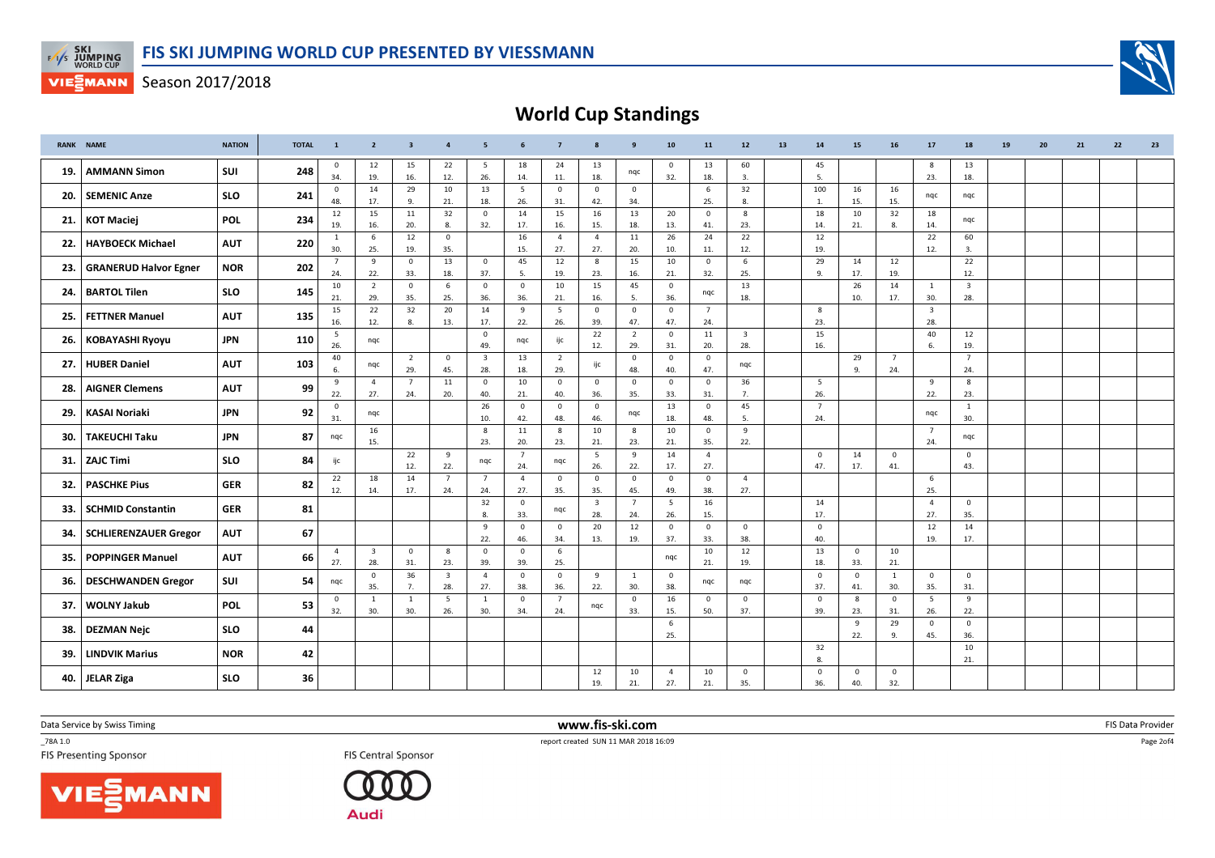



World Cup Standings

|       | <b>RANK NAME</b>             | <b>NATION</b> | <b>TOTAL</b> | $\mathbf{1}$          | $\overline{2}$                 | $\overline{\mathbf{3}}$ | $\overline{4}$                 | 5                              | 6                     | $\overline{7}$        |                                | 9                     | 10                             | 11                    | $12$                    | 13 | 14                    | 15                    | 16                    | 17                             | 18                      | 19 | 20 | 21 | 22 | 23 |
|-------|------------------------------|---------------|--------------|-----------------------|--------------------------------|-------------------------|--------------------------------|--------------------------------|-----------------------|-----------------------|--------------------------------|-----------------------|--------------------------------|-----------------------|-------------------------|----|-----------------------|-----------------------|-----------------------|--------------------------------|-------------------------|----|----|----|----|----|
| 19. I | <b>AMMANN Simon</b>          | SUI           | 248          | $\mathbf 0$<br>34.    | 12<br>19.                      | 15<br>16.               | 22<br>12.                      | 5<br>26.                       | 18<br>14.             | 24<br>11.             | 13<br>18.                      | nqc                   | $\overline{\mathbf{0}}$<br>32. | 13<br>18.             | 60<br>3.                |    | 45<br>5.              |                       |                       | 8<br>23.                       | 13<br>18.               |    |    |    |    |    |
| 20.   | <b>SEMENIC Anze</b>          | <b>SLO</b>    | 241          | $\mathbf 0$<br>48.    | 14<br>17.                      | 29<br>9.                | 10<br>21.                      | 13<br>18.                      | 5<br>26.              | $\mathbf 0$<br>31.    | $\Omega$<br>42.                | $\mathbf 0$<br>34.    |                                | 6<br>25.              | 32<br>8.                |    | 100<br>1.             | 16<br>15.             | 16<br>15.             | nqc                            | nqc                     |    |    |    |    |    |
| 21.1  | <b>KOT Maciej</b>            | <b>POL</b>    | 234          | 12<br>19.             | 15<br>16.                      | 11<br>20.               | 32<br>8.                       | $\overline{0}$<br>32.          | 14<br>17.             | 15<br>16.             | 16<br>15.                      | 13<br>18.             | 20<br>13.                      | $\overline{0}$<br>41. | 8<br>23.                |    | 18<br>14.             | 10<br>21.             | 32<br>8.              | 18<br>14.                      | nqc                     |    |    |    |    |    |
| 22.   | <b>HAYBOECK Michael</b>      | <b>AUT</b>    | 220          | <sup>1</sup><br>30.   | 6<br>25.                       | 12<br>19.               | $\mathbf 0$<br>35.             |                                | 16<br>15.             | $\overline{4}$<br>27. | $\overline{4}$<br>27.          | 11<br>20.             | 26<br>10.                      | 24<br>11.             | 22<br>12.               |    | 12<br>19.             |                       |                       | 22<br>12.                      | 60<br>3.                |    |    |    |    |    |
| 23.   | <b>GRANERUD Halvor Egner</b> | <b>NOR</b>    | 202          | $\overline{7}$<br>24. | 9<br>22.                       | $\mathbf 0$             | 13<br>18.                      | $\overline{0}$<br>37.          | 45                    | 12<br>19.             | 8                              | 15<br>16.             | 10<br>21.                      | $\mathbf 0$<br>32.    | 6                       |    | 29<br>9               | 14<br>17.             | 12<br>19.             |                                | 22<br>12.               |    |    |    |    |    |
| 24.   | <b>BARTOL Tilen</b>          | <b>SLO</b>    | 145          | 10                    | $\overline{2}$                 | 33.<br>$\mathbf 0$      | 6                              | $\overline{\mathbf{0}}$        | -5.<br>$\mathbf{0}$   | 10                    | 23.<br>15                      | 45                    | $\overline{0}$                 | nqc                   | 25.<br>13               |    |                       | 26                    | 14                    | 1                              | $\overline{\mathbf{3}}$ |    |    |    |    |    |
| 25.   | <b>FETTNER Manuel</b>        | <b>AUT</b>    | 135          | 21.<br>15             | 29.<br>22                      | 35.<br>32               | 25.<br>20                      | 36.<br>14                      | 36.<br>9              | 21.<br>5              | 16.<br>$\mathbf{0}$            | 5.<br>$\mathbf 0$     | 36.<br>$\mathbf{0}$            | $7\overline{ }$       | 18.                     |    | 8                     | 10.                   | 17.                   | 30.<br>$\overline{\mathbf{3}}$ | 28.                     |    |    |    |    |    |
| 26.   | <b>KOBAYASHI Ryoyu</b>       | JPN           | 110          | 16.<br>5              | 12.<br>nqc                     | 8.                      | 13.                            | 17.<br>$\overline{\mathbf{0}}$ | 22.<br>nqc            | 26.<br>ijc            | 39.<br>22                      | 47.<br>$\overline{2}$ | 47.<br>$\overline{\mathbf{0}}$ | 24.<br>11             | $\overline{\mathbf{3}}$ |    | 23.<br>15             |                       |                       | 28.<br>40                      | 12                      |    |    |    |    |    |
|       | 27. HUBER Daniel             | <b>AUT</b>    | 103          | 26.<br>40             |                                | $\overline{2}$          | $\mathbf 0$                    | 49.<br>$\overline{\mathbf{3}}$ | 13                    | 2                     | 12.<br>ijc                     | 29.<br>$\mathbf 0$    | 31.<br>$\overline{0}$          | 20.<br>$\mathbf 0$    | 28.                     |    | 16.                   | 29                    | $\overline{7}$        | 6.                             | 19.<br>$\overline{7}$   |    |    |    |    |    |
|       |                              |               |              | 6.<br>9               | nqc<br>$\overline{4}$          | 29.<br>$\overline{7}$   | 45.<br>11                      | 28.<br>$\overline{0}$          | 18.<br>10             | 29.<br>$\mathbf{0}$   | $\mathbf{0}$                   | 48.<br>$\mathbf 0$    | 40.<br>$\mathbf{0}$            | 47.<br>$\overline{0}$ | nqc<br>36               |    | 5                     | 9.                    | 24.                   | 9                              | 24.<br>8                |    |    |    |    |    |
| 28.   | <b>AIGNER Clemens</b>        | <b>AUT</b>    | 99           | 22.<br>$\mathbf 0$    | 27.                            | 24.                     | 20.                            | 40.<br>26                      | 21.<br>$\mathbf 0$    | 40.<br>$\mathbf 0$    | 36.<br>$\mathbf 0$             | 35.                   | 33.<br>13                      | 31.<br>$\mathbf 0$    | 7.<br>45                |    | 26.<br>$\overline{7}$ |                       |                       | 22.                            | 23.<br><sup>1</sup>     |    |    |    |    |    |
| 29.   | <b>KASAI Noriaki</b>         | <b>JPN</b>    | 92           | 31.                   | nqc<br>16                      |                         |                                | 10.<br>8                       | 42.<br>11             | 48.<br>8              | 46.<br>10                      | nqc<br>8              | 18.<br>10                      | 48.<br>$\mathbf{0}$   | 5.<br>9                 |    | 24.                   |                       |                       | nqc<br>$\overline{7}$          | 30.                     |    |    |    |    |    |
| 30.   | <b>TAKEUCHI Taku</b>         | <b>JPN</b>    | 87           | nqc                   | 15.                            | 22                      | 9                              | 23.                            | 20.<br>$\overline{7}$ | 23.                   | 21.<br>5                       | 23.<br>9              | 21.<br>14                      | 35.<br>$\overline{4}$ | 22.                     |    | $\mathbf 0$           | 14                    | $\mathbf 0$           | 24.                            | ngc<br>$\mathbf 0$      |    |    |    |    |    |
|       | 31. ZAJC Timi                | <b>SLO</b>    | 84           | ijc                   |                                | 12.                     | 22.                            | ngc                            | 24.                   | nqc                   | 26.                            | 22.                   | 17.                            | 27.                   |                         |    | 47.                   | 17.                   | 41.                   |                                | 43.                     |    |    |    |    |    |
| 32.   | <b>PASCHKE Pius</b>          | <b>GER</b>    | 82           | 22<br>12.             | 18<br>14.                      | 14<br>17.               | $\overline{7}$<br>24.          | $\overline{7}$<br>24.          | $\overline{4}$<br>27. | $\mathbf 0$<br>35.    | $\mathbf{0}$<br>35.            | $\mathbf{0}$<br>45.   | $\overline{0}$<br>49.          | $\mathbf 0$<br>38.    | $\overline{4}$<br>27.   |    |                       |                       |                       | 6<br>25.                       |                         |    |    |    |    |    |
| 33.   | <b>SCHMID Constantin</b>     | <b>GER</b>    | 81           |                       |                                |                         |                                | 32<br>8.                       | $\overline{0}$<br>33. | nqc                   | $\overline{\mathbf{3}}$<br>28. | $\overline{7}$<br>24. | 5<br>26.                       | 16<br>15.             |                         |    | 14<br>17.             |                       |                       | $\overline{4}$<br>27.          | $\mathbf{0}$<br>35.     |    |    |    |    |    |
| 34.   | <b>SCHLIERENZAUER Gregor</b> | <b>AUT</b>    | 67           |                       |                                |                         |                                | 9<br>22.                       | $\mathbf{0}$<br>46.   | $\mathbf{0}$<br>34.   | 20<br>13.                      | 12<br>19.             | $\overline{\mathbf{0}}$<br>37. | $\overline{0}$<br>33. | $\mathbf 0$<br>38.      |    | $\mathbf{0}$<br>40.   |                       |                       | 12<br>19.                      | 14<br>17.               |    |    |    |    |    |
| 35.   | <b>POPPINGER Manuel</b>      | <b>AUT</b>    | 66           | $\overline{4}$<br>27. | $\overline{\mathbf{3}}$<br>28. | $\mathbf 0$<br>31.      | 8<br>23.                       | $\overline{\mathbf{0}}$<br>39. | $\mathbf 0$<br>39.    | 6<br>25.              |                                |                       | nqc                            | 10<br>21.             | 12<br>19.               |    | 13<br>18.             | $\overline{0}$<br>33. | 10<br>21.             |                                |                         |    |    |    |    |    |
| 36.   | <b>DESCHWANDEN Gregor</b>    | SUI           | 54           | nqc                   | $\mathbf{0}$<br>35.            | 36<br>7.                | $\overline{\mathbf{3}}$<br>28. | $\overline{4}$<br>27.          | $\overline{0}$<br>38. | $\overline{0}$<br>36. | 9<br>22.                       | $\mathbf{1}$<br>30.   | $\overline{0}$<br>38.          | nqc                   | nqc                     |    | $\mathbf{0}$<br>37.   | $\overline{0}$<br>41. | <sup>1</sup><br>30.   | $\mathbf 0$<br>35.             | $\mathbf{0}$<br>31.     |    |    |    |    |    |
| 37.   | <b>WOLNY Jakub</b>           | <b>POL</b>    | 53           | $\mathbf 0$<br>32.    | $\overline{1}$<br>30.          | $\mathbf{1}$<br>30.     | 5<br>26.                       | <sup>1</sup><br>30.            | $\mathbf{0}$<br>34.   | $\overline{7}$<br>24. | nqc                            | $\mathbf 0$<br>33.    | 16<br>15.                      | $\overline{0}$<br>50. | $\Omega$<br>37.         |    | $\Omega$<br>39.       | 8<br>23.              | $\overline{0}$<br>31. | 5<br>26.                       | 9<br>22.                |    |    |    |    |    |
| 38.   | <b>DEZMAN Nejc</b>           | <b>SLO</b>    | 44           |                       |                                |                         |                                |                                |                       |                       |                                |                       | 6<br>25.                       |                       |                         |    |                       | 9<br>22.              | 29<br>9.              | $\mathbf 0$<br>45.             | $\mathbf{0}$<br>36.     |    |    |    |    |    |
| 39.   | <b>LINDVIK Marius</b>        | <b>NOR</b>    | 42           |                       |                                |                         |                                |                                |                       |                       |                                |                       |                                |                       |                         |    | 32<br>8               |                       |                       |                                | 10<br>21.               |    |    |    |    |    |
|       | 40. JELAR Ziga               | <b>SLO</b>    | 36           |                       |                                |                         |                                |                                |                       |                       | 12<br>19.                      | 10<br>21.             | $\overline{4}$<br>27.          | 10<br>21.             | $\mathbf 0$<br>35.      |    | $\mathbf 0$<br>36.    | $\mathbf 0$<br>40.    | $\overline{0}$<br>32. |                                |                         |    |    |    |    |    |

Data Service by Swiss Timing

\_78A 1.0

 www.fis-ski.comTES Central Sponsor FIS Central Sponsor FIS Central Sponsor FIS Central Sponsor FIS Presenting Sponsor

m FIS Data Provider<br>1846:00

Page 2of4



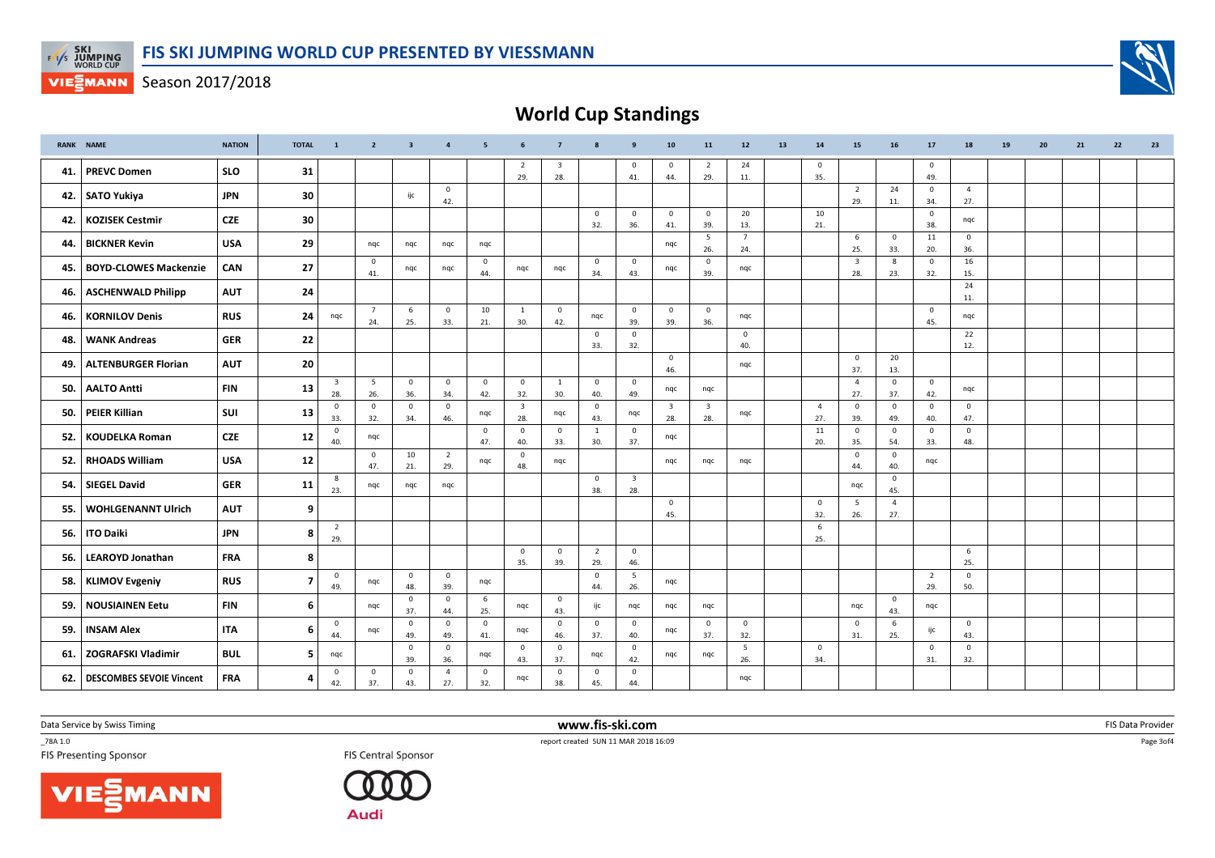



World Cup Standings

|     | <b>RANK NAME</b>                | <b>NATION</b> | <b>TOTAL</b>   | $\overline{1}$                 | $\overline{2}$        | $\overline{\mathbf{3}}$ | $\overline{4}$        | 5                     | 6                              | $\overline{7}$                 | 8                     | 9                              | 10                             | 11                             | 12                  | 13 | 14                    | 15                             | 16                    | 17                    | 18                    | 19 | 20 | 21 | 22 | 23 |
|-----|---------------------------------|---------------|----------------|--------------------------------|-----------------------|-------------------------|-----------------------|-----------------------|--------------------------------|--------------------------------|-----------------------|--------------------------------|--------------------------------|--------------------------------|---------------------|----|-----------------------|--------------------------------|-----------------------|-----------------------|-----------------------|----|----|----|----|----|
| 41. | <b>PREVC Domen</b>              | <b>SLO</b>    | 31             |                                |                       |                         |                       |                       | $\overline{2}$<br>29.          | $\overline{\mathbf{3}}$<br>28. |                       | $\mathbf{0}$<br>41.            | $\overline{0}$<br>44.          | 2<br>29.                       | 24<br>11.           |    | $\mathbf{0}$<br>35.   |                                |                       | $\mathbf 0$<br>49.    |                       |    |    |    |    |    |
|     | 42. SATO Yukiya                 | <b>JPN</b>    | 30             |                                |                       | ijc                     | $\mathbf{0}$<br>42.   |                       |                                |                                |                       |                                |                                |                                |                     |    |                       | $\overline{2}$<br>29.          | 24<br>11.             | $\mathbf{0}$<br>34.   | $\overline{4}$<br>27. |    |    |    |    |    |
| 42. | <b>KOZISEK Cestmir</b>          | <b>CZE</b>    | 30             |                                |                       |                         |                       |                       |                                |                                | $\mathbf{0}$<br>32.   | $\mathbf{0}$<br>36.            | $\mathbf 0$<br>41.             | $\mathbf{0}$<br>39.            | 20<br>13.           |    | 10<br>21.             |                                |                       | $\mathbf{0}$<br>38.   | nqc                   |    |    |    |    |    |
| 44. | <b>BICKNER Kevin</b>            | <b>USA</b>    | 29             |                                | nqc                   | nqc                     | nqc                   | nqc                   |                                |                                |                       |                                | nqc                            | 5<br>26.                       | 7<br>24.            |    |                       | 6<br>25.                       | $\overline{0}$<br>33. | 11<br>20.             | $\mathbf{0}$<br>36.   |    |    |    |    |    |
| 45. | <b>BOYD-CLOWES Mackenzie</b>    | CAN           | 27             |                                | $\overline{0}$<br>41. | nqc                     | nqc                   | $\overline{0}$<br>44. | nqc                            | nqc                            | $\mathbf{0}$<br>34.   | $\mathbf{0}$<br>43.            | nqc                            | $\mathbf 0$<br>39.             | nqc                 |    |                       | $\overline{\mathbf{3}}$<br>28. | 8<br>23.              | $\mathbf{0}$<br>32.   | 16<br>15.             |    |    |    |    |    |
| 46. | <b>ASCHENWALD Philipp</b>       | <b>AUT</b>    | 24             |                                |                       |                         |                       |                       |                                |                                |                       |                                |                                |                                |                     |    |                       |                                |                       |                       | 24<br>11.             |    |    |    |    |    |
| 46. | <b>KORNILOV Denis</b>           | <b>RUS</b>    | 24             | ngc                            | $\overline{7}$<br>24. | 6<br>25.                | $\mathbf 0$<br>33.    | 10<br>21.             | 1<br>30.                       | $\overline{0}$<br>42.          | nqc                   | $\mathbf{0}$<br>39.            | $\overline{0}$<br>39.          | $\mathbf 0$<br>36.             | nqc                 |    |                       |                                |                       | $\mathbf{0}$<br>45.   | nqc                   |    |    |    |    |    |
| 48. | <b>WANK Andreas</b>             | <b>GER</b>    | 22             |                                |                       |                         |                       |                       |                                |                                | $\mathbf 0$<br>33.    | $\mathbf{0}$<br>32.            |                                |                                | $\mathbf{0}$<br>40. |    |                       |                                |                       |                       | 22<br>12.             |    |    |    |    |    |
| 49. | <b>ALTENBURGER Florian</b>      | <b>AUT</b>    | 20             |                                |                       |                         |                       |                       |                                |                                |                       |                                | $\overline{0}$<br>46.          |                                | ngc                 |    |                       | $\overline{0}$<br>37.          | 20<br>13.             |                       |                       |    |    |    |    |    |
| 50. | <b>AALTO Antti</b>              | <b>FIN</b>    | 13             | $\overline{\mathbf{3}}$<br>28. | 5<br>26.              | $\mathbf 0$<br>36.      | $\mathbf{0}$<br>34.   | $\overline{0}$<br>42. | $\mathbf{0}$<br>32.            | <sup>1</sup><br>30.            | $\mathbf{0}$<br>40.   | $\mathbf 0$<br>49.             | nqc                            | nqc                            |                     |    |                       | $\overline{4}$<br>27.          | $\mathbf 0$<br>37.    | $\mathbf{0}$<br>42.   | nqc                   |    |    |    |    |    |
| 50. | <b>PEIER Killian</b>            | SUI           | 13             | $\overline{0}$<br>33.          | $\mathbf{0}$<br>32.   | $\mathbf{0}$<br>34.     | $\mathbf{0}$<br>46.   | nqc                   | $\overline{\mathbf{3}}$<br>28. | nqc                            | $\mathbf{0}$<br>43.   | nqc                            | $\overline{\mathbf{3}}$<br>28. | $\overline{\mathbf{3}}$<br>28. | ngc                 |    | $\overline{4}$<br>27. | $\overline{0}$<br>39.          | $\mathbf{0}$<br>49.   | $\mathbf 0$<br>40.    | $\mathbf 0$<br>47.    |    |    |    |    |    |
| 52. | <b>KOUDELKA Roman</b>           | <b>CZE</b>    | 12             | $\overline{0}$<br>40.          | nqc                   |                         |                       | $\overline{0}$<br>47. | $\mathbf{0}$<br>40.            | $\mathbf 0$<br>33.             | $\mathbf{1}$<br>30.   | $\overline{0}$<br>37.          | nqc                            |                                |                     |    | 11<br>20.             | $\overline{0}$<br>35.          | $\mathbf 0$<br>54.    | $\mathbf{0}$<br>33.   | $\mathbf{0}$<br>48.   |    |    |    |    |    |
| 52. | <b>RHOADS William</b>           | <b>USA</b>    | 12             |                                | $\mathbf{0}$<br>47.   | 10<br>21.               | $\overline{2}$<br>29. | ngc                   | $\mathbf 0$<br>48.             | nqc                            |                       |                                | ngc                            | nqc                            | nqc                 |    |                       | $\overline{0}$<br>44.          | $\overline{0}$<br>40. | ngc                   |                       |    |    |    |    |    |
| 54. | <b>SIEGEL David</b>             | <b>GER</b>    | 11             | 8<br>23.                       | ngc                   | ngc                     | ngc                   |                       |                                |                                | $\mathbf{0}$<br>38.   | $\overline{\mathbf{3}}$<br>28. |                                |                                |                     |    |                       | nqc                            | $\overline{0}$<br>45. |                       |                       |    |    |    |    |    |
| 55. | <b>WOHLGENANNT Ulrich</b>       | <b>AUT</b>    | 9              |                                |                       |                         |                       |                       |                                |                                |                       |                                | $\overline{0}$<br>45.          |                                |                     |    | $\overline{0}$<br>32. | 5<br>26.                       | $\overline{4}$<br>27. |                       |                       |    |    |    |    |    |
| 56. | <b>ITO Daiki</b>                | <b>JPN</b>    | 8              | $\overline{2}$<br>29.          |                       |                         |                       |                       |                                |                                |                       |                                |                                |                                |                     |    | 6<br>25.              |                                |                       |                       |                       |    |    |    |    |    |
| 56. | <b>LEAROYD Jonathan</b>         | <b>FRA</b>    | 8              |                                |                       |                         |                       |                       | $\mathbf 0$<br>35.             | $\mathbf 0$<br>39.             | $\overline{2}$<br>29. | $\mathbf 0$<br>46.             |                                |                                |                     |    |                       |                                |                       |                       | 6<br>25.              |    |    |    |    |    |
| 58. | <b>KLIMOV Evgeniy</b>           | <b>RUS</b>    | $\overline{7}$ | $\overline{\mathbf{0}}$<br>49. | nqc                   | $\mathbf 0$<br>48.      | $\overline{0}$<br>39. | nqc                   |                                |                                | $\mathbf{0}$<br>44.   | 5<br>26.                       | nqc                            |                                |                     |    |                       |                                |                       | $\overline{2}$<br>29. | $\mathsf 0$<br>50.    |    |    |    |    |    |
| 59. | <b>NOUSIAINEN Eetu</b>          | <b>FIN</b>    | 6              |                                | nqc                   | $\mathbf 0$<br>37.      | $\mathbf{0}$<br>44.   | 6<br>25.              | ngc                            | $\overline{0}$<br>43.          | ijc                   | nqc                            | nqc                            | ngc                            |                     |    |                       | nqc                            | $\overline{0}$<br>43. | nqc                   |                       |    |    |    |    |    |
| 59. | <b>INSAM Alex</b>               | <b>ITA</b>    | 6              | $\overline{\mathbf{0}}$<br>44. | nqc                   | $\mathbf{0}$<br>49.     | $\overline{0}$<br>49. | $\overline{0}$<br>41. | nqc                            | $\overline{0}$<br>46.          | $\mathbf 0$<br>37.    | $\mathbf 0$<br>40.             | nqc                            | $\mathbf 0$<br>37.             | $\mathbf 0$<br>32.  |    |                       | $\mathbf 0$<br>31.             | 6<br>25.              | ijc                   | $\mathbf{0}$<br>43.   |    |    |    |    |    |
| 61. | <b>ZOGRAFSKI Vladimir</b>       | <b>BUL</b>    | 5              | ngc                            |                       | $\mathbf{0}$<br>39.     | $\mathbf 0$<br>36.    | nqc                   | $\mathbf{0}$<br>43.            | $\mathbf 0$<br>37.             | nqc                   | $\mathbf{0}$<br>42.            | nqc                            | nqc                            | 5<br>26.            |    | $\overline{0}$<br>34. |                                |                       | $\mathbf{0}$<br>31.   | $\mathbf{0}$<br>32.   |    |    |    |    |    |
| 62. | <b>DESCOMBES SEVOIE Vincent</b> | <b>FRA</b>    | 4              | $\mathbf 0$<br>42.             | $\mathbf{0}$<br>37.   | $\mathbf{0}$<br>43.     | $\overline{4}$<br>27. | $\overline{0}$<br>32. | nqc                            | $\mathbf{0}$<br>38.            | $\mathbf 0$<br>45.    | $\mathbf{0}$<br>44.            |                                |                                | nqc                 |    |                       |                                |                       |                       |                       |    |    |    |    |    |

Data Service by Swiss Timing

\_78A 1.0





 www.fis-ski.comTES Central Sponsor FIS Central Sponsor FIS Central Sponsor FIS Central Sponsor FIS Presenting Sponsor

m FIS Data Provider<br>1846:00

Page 3of4